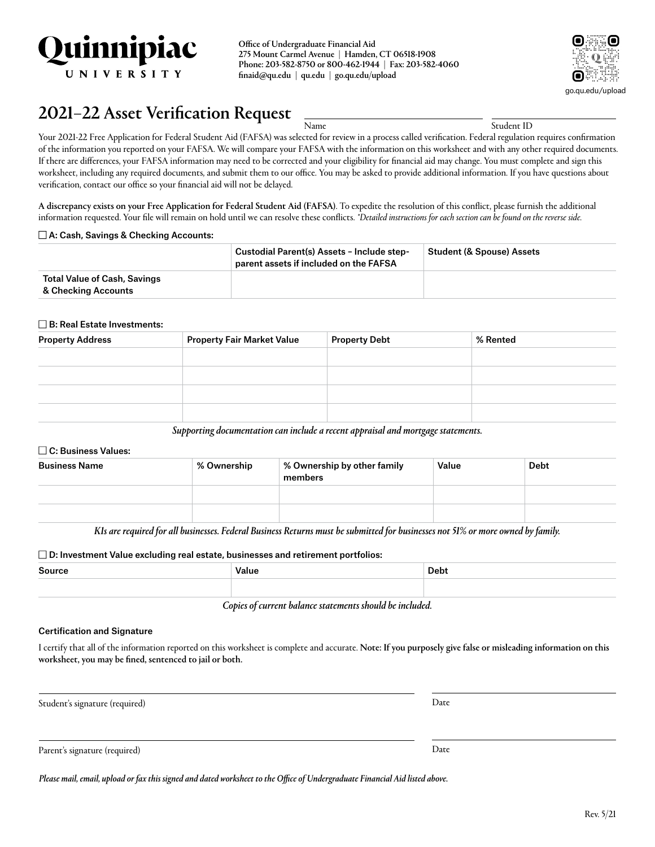

Office of Undergraduate Financial Aid 275 Mount Carmel Avenue | Hamden, CT 06518-1908 Phone: 203-582-8750 or 800-462-1944 | Fax: 203-582-4060 [finaid@qu.edu](mailto:finaid@qu.edu) | [qu.edu](http://www.qu.edu) | [go.qu.edu/upload](http://www.go.qu.edu/upload)



# $2021-22$  Asset Verification Request  $\frac{1}{N_\text{amec}}$   $\frac{1}{N_\text{M}}$

Your 2021-22 Free Application for Federal Student Aid (FAFSA) was selected for review in a process called verification. Federal regulation requires confirmation of the information you reported on your FAFSA. We will compare your FAFSA with the information on this worksheet and with any other required documents. If there are differences, your FAFSA information may need to be corrected and your eligibility for financial aid may change. You must complete and sign this worksheet, including any required documents, and submit them to our office. You may be asked to provide additional information. If you have questions about verification, contact our office so your financial aid will not be delayed.

A discrepancy exists on your Free Application for Federal Student Aid (FAFSA). To expedite the resolution of this conflict, please furnish the additional information requested. Your file will remain on hold until we can resolve these conflicts. *\*Detailed instructions for each section can be found on the reverse side.*

#### $\Box$  A: Cash, Savings & Checking Accounts:

|                                                            | Custodial Parent(s) Assets - Include step-<br>parent assets if included on the FAFSA | <b>Student (&amp; Spouse) Assets</b> |
|------------------------------------------------------------|--------------------------------------------------------------------------------------|--------------------------------------|
| <b>Total Value of Cash, Savings</b><br>& Checking Accounts |                                                                                      |                                      |

#### $\square$  B: Real Estate Investments:

| <b>Property Address</b> | <b>Property Fair Market Value</b> | <b>Property Debt</b> | % Rented |
|-------------------------|-----------------------------------|----------------------|----------|
|                         |                                   |                      |          |
|                         |                                   |                      |          |
|                         |                                   |                      |          |
|                         |                                   |                      |          |

*Supporting documentation can include a recent appraisal and mortgage statements.*

#### $\Box$  C: Business Values:

| <b>Business Name</b> | % Ownership | % Ownership by other family<br>members | Value | <b>Debt</b> |
|----------------------|-------------|----------------------------------------|-------|-------------|
|                      |             |                                        |       |             |
|                      |             |                                        |       |             |

*K1s are required for all businesses. Federal Business Returns must be submitted for businesses not 51% or more owned by family.*

#### $\square$  D: Investment Value excluding real estate, businesses and retirement portfolios:

| Source | Value | Debt |
|--------|-------|------|
|        |       |      |

*Copies of current balance statements should be included.*

#### Certification and Signature

I certify that all of the information reported on this worksheet is complete and accurate. Note: If you purposely give false or misleading information on this worksheet, you may be fined, sentenced to jail or both.

Student's signature (required) Date

Parent's signature (required) Date

*Please mail, email, upload or fax this signed and dated worksheet to the Office of Undergraduate Financial Aid listed above.*